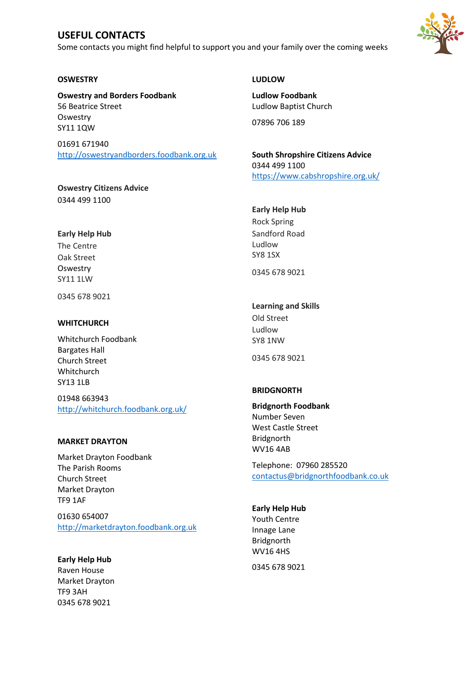# **USEFUL CONTACTS**

Some contacts you might find helpful to support you and your family over the coming weeks



## **OSWESTRY**

**Oswestry and Borders Foodbank** 56 Beatrice Street **Oswestry** SY11 1QW

01691 671940 [http://oswestryandborders.foodbank.org.uk](http://oswestryandborders.foodbank.org.uk/)

**Oswestry Citizens Advice** 0344 499 1100

## **Early Help Hub**

The Centre Oak Street **Oswestry** SY11 1LW

0345 678 9021

#### **WHITCHURCH**

Whitchurch Foodbank Bargates Hall Church Street Whitchurch SY13 1LB

01948 663943 <http://whitchurch.foodbank.org.uk/>

### **MARKET DRAYTON**

Market Drayton Foodbank The Parish Rooms Church Street Market Drayton TF9 1AF

01630 654007 [http://marketdrayton.foodbank.org.uk](http://marketdrayton.foodbank.org.uk/)

**Early Help Hub** Raven House Market Drayton TF9 3AH 0345 678 9021

## **LUDLOW**

**Ludlow Foodbank** Ludlow Baptist Church

07896 706 189

**South Shropshire Citizens Advice** 0344 499 1100 <https://www.cabshropshire.org.uk/>

## **Early Help Hub**

Rock Spring Sandford Road Ludlow SY8 1SX

0345 678 9021

## **Learning and Skills**

Old Street Ludlow SY8 1NW

0345 678 9021

### **BRIDGNORTH**

**Bridgnorth Foodbank** Number Seven West Castle Street Bridgnorth WV16 4AB

Telephone: 07960 285520 [contactus@bridgnorthfoodbank.co.uk](mailto:contactus@bridgnorthfoodbank.co.uk)

### **Early Help Hub**

Youth Centre Innage Lane Bridgnorth WV16 4HS

0345 678 9021